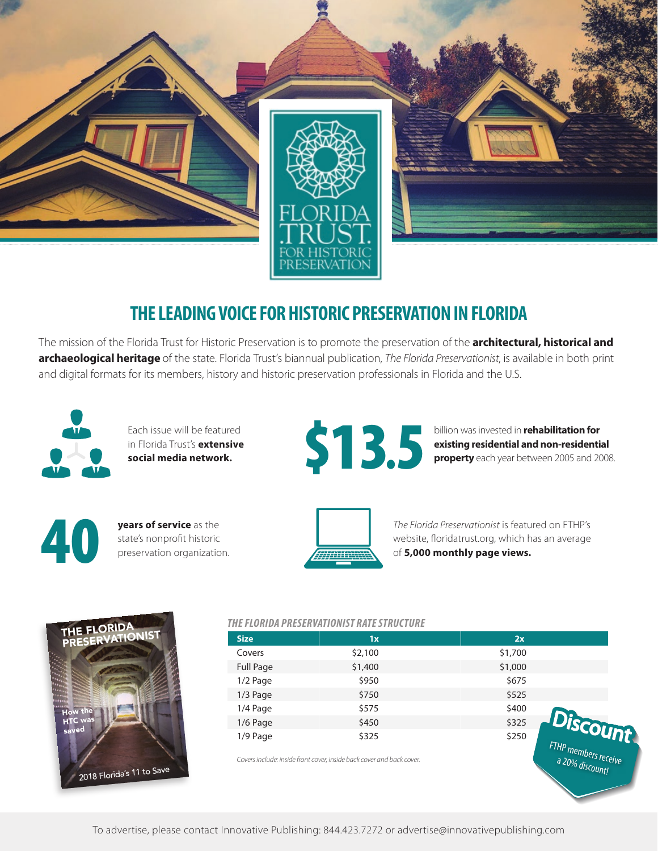

# **THE LEADING VOICE FOR HISTORIC PRESERVATION IN FLORIDA**

The mission of the Florida Trust for Historic Preservation is to promote the preservation of the **architectural, historical and archaeological heritage** of the state. Florida Trust's biannual publication, *The Florida Preservationist*, is available in both print and digital formats for its members, history and historic preservation professionals in Florida and the U.S.



Each issue will be featured in Florida Trust's **extensive social media network.**



billion was invested in **rehabilitation for** 

a 20% discount!



**years of service** as the **State's nonprofit historic preservation organization.** 



*The Florida Preservationist* is featured on FTHP's website, floridatrust.org, which has an average of **5,000 monthly page views.**



#### *THE FLORIDA PRESERVATIONIST RATE STRUCTURE*

| <b>Size</b>      | 1x                                                                    | 2x      |                       |
|------------------|-----------------------------------------------------------------------|---------|-----------------------|
| Covers           | \$2,100                                                               | \$1,700 |                       |
| <b>Full Page</b> | \$1,400                                                               | \$1,000 |                       |
| $1/2$ Page       | \$950                                                                 | \$675   |                       |
| $1/3$ Page       | \$750                                                                 | \$525   |                       |
| 1/4 Page         | \$575                                                                 | \$400   |                       |
| $1/6$ Page       | \$450                                                                 | \$325   |                       |
| $1/9$ Page       | \$325                                                                 | \$250   | Discount              |
|                  | Covers include: inside front cover, inside back cover and back cover. |         | FTHP members received |